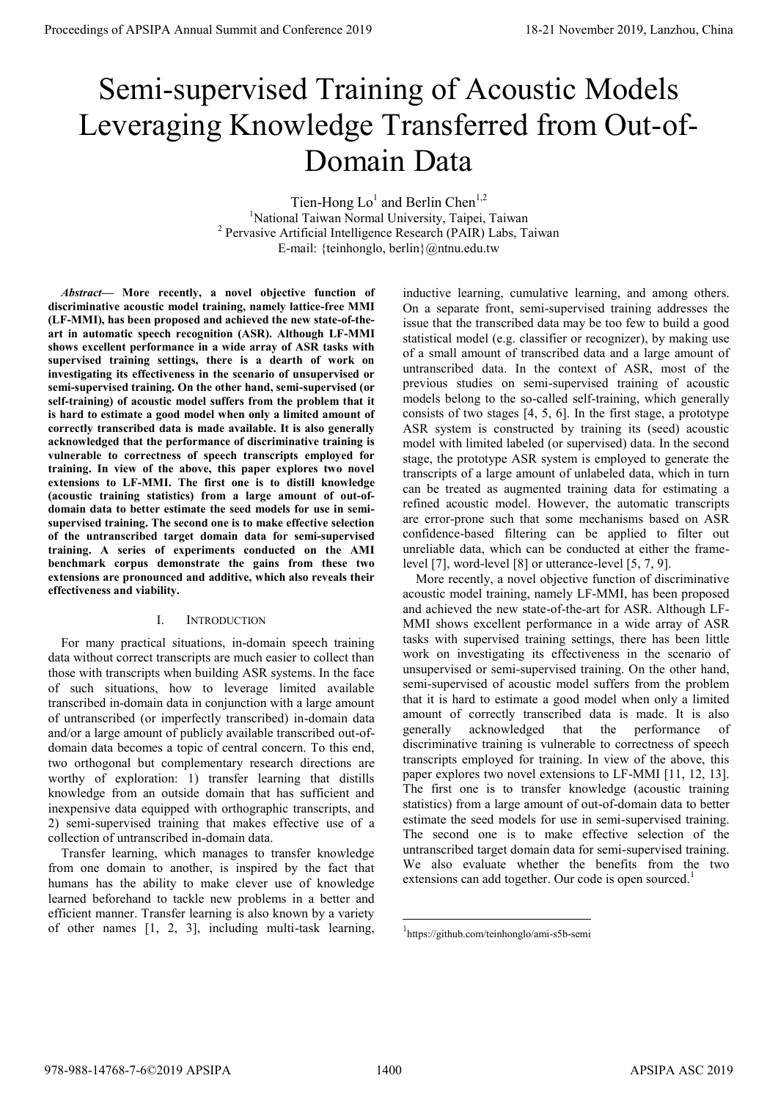# Semi-supervised Training of Acoustic Models Leveraging Knowledge Transferred from Out-of-Domain Data

Tien-Hong  $Lo<sup>1</sup>$  and Berlin Chen<sup>1,2</sup> <sup>1</sup>National Taiwan Normal University, Taipei, Taiwan 2 Pervasive Artificial Intelligence Research (PAIR) Labs, Taiwan E-mail: {teinhonglo, berlin}@ntnu.edu.tw

*Abstract***— More recently, a novel objective function of discriminative acoustic model training, namely lattice-free MMI (LF-MMI), has been proposed and achieved the new state-of-theart in automatic speech recognition (ASR). Although LF-MMI shows excellent performance in a wide array of ASR tasks with supervised training settings, there is a dearth of work on investigating its effectiveness in the scenario of unsupervised or semi-supervised training. On the other hand, semi-supervised (or self-training) of acoustic model suffers from the problem that it is hard to estimate a good model when only a limited amount of correctly transcribed data is made available. It is also generally acknowledged that the performance of discriminative training is vulnerable to correctness of speech transcripts employed for training. In view of the above, this paper explores two novel extensions to LF-MMI. The first one is to distill knowledge (acoustic training statistics) from a large amount of out-ofdomain data to better estimate the seed models for use in semisupervised training. The second one is to make effective selection of the untranscribed target domain data for semi-supervised training. A series of experiments conducted on the AMI benchmark corpus demonstrate the gains from these two extensions are pronounced and additive, which also reveals their effectiveness and viability.** 

## I. INTRODUCTION

For many practical situations, in-domain speech training data without correct transcripts are much easier to collect than those with transcripts when building ASR systems. In the face of such situations, how to leverage limited available transcribed in-domain data in conjunction with a large amount of untranscribed (or imperfectly transcribed) in-domain data and/or a large amount of publicly available transcribed out-ofdomain data becomes a topic of central concern. To this end, two orthogonal but complementary research directions are worthy of exploration: 1) transfer learning that distills knowledge from an outside domain that has sufficient and inexpensive data equipped with orthographic transcripts, and 2) semi-supervised training that makes effective use of a collection of untranscribed in-domain data.

Transfer learning, which manages to transfer knowledge from one domain to another, is inspired by the fact that humans has the ability to make clever use of knowledge learned beforehand to tackle new problems in a better and efficient manner. Transfer learning is also known by a variety of other names [1, 2, 3], including multi-task learning, inductive learning, cumulative learning, and among others. On a separate front, semi-supervised training addresses the issue that the transcribed data may be too few to build a good statistical model (e.g. classifier or recognizer), by making use of a small amount of transcribed data and a large amount of untranscribed data. In the context of ASR, most of the previous studies on semi-supervised training of acoustic models belong to the so-called self-training, which generally consists of two stages [4, 5, 6]. In the first stage, a prototype ASR system is constructed by training its (seed) acoustic model with limited labeled (or supervised) data. In the second stage, the prototype ASR system is employed to generate the transcripts of a large amount of unlabeled data, which in turn can be treated as augmented training data for estimating a refined acoustic model. However, the automatic transcripts are error-prone such that some mechanisms based on ASR confidence-based filtering can be applied to filter out unreliable data, which can be conducted at either the framelevel [7], word-level [8] or utterance-level [5, 7, 9].

More recently, a novel objective function of discriminative acoustic model training, namely LF-MMI, has been proposed and achieved the new state-of-the-art for ASR. Although LF-MMI shows excellent performance in a wide array of ASR tasks with supervised training settings, there has been little work on investigating its effectiveness in the scenario of unsupervised or semi-supervised training. On the other hand, semi-supervised of acoustic model suffers from the problem that it is hard to estimate a good model when only a limited amount of correctly transcribed data is made. It is also generally acknowledged that the performance of discriminative training is vulnerable to correctness of speech transcripts employed for training. In view of the above, this paper explores two novel extensions to LF-MMI [11, 12, 13]. The first one is to transfer knowledge (acoustic training statistics) from a large amount of out-of-domain data to better estimate the seed models for use in semi-supervised training. The second one is to make effective selection of the untranscribed target domain data for semi-supervised training. We also evaluate whether the benefits from the two extensions can add together. Our code is open sourced.<sup>1</sup> **Proceedings of APSIPA Annual Summit at Conference 2019**<br>
Service 2020 **Conference 2019**<br>
Service 2020 **Conference 2019**<br>
Service 2020 **Conference 2020**<br>
The conference 2021 **Conference 2021**<br>
The conference 2021 **Confere** 

1

<sup>1</sup> https://github.com/teinhonglo/ami-s5b-semi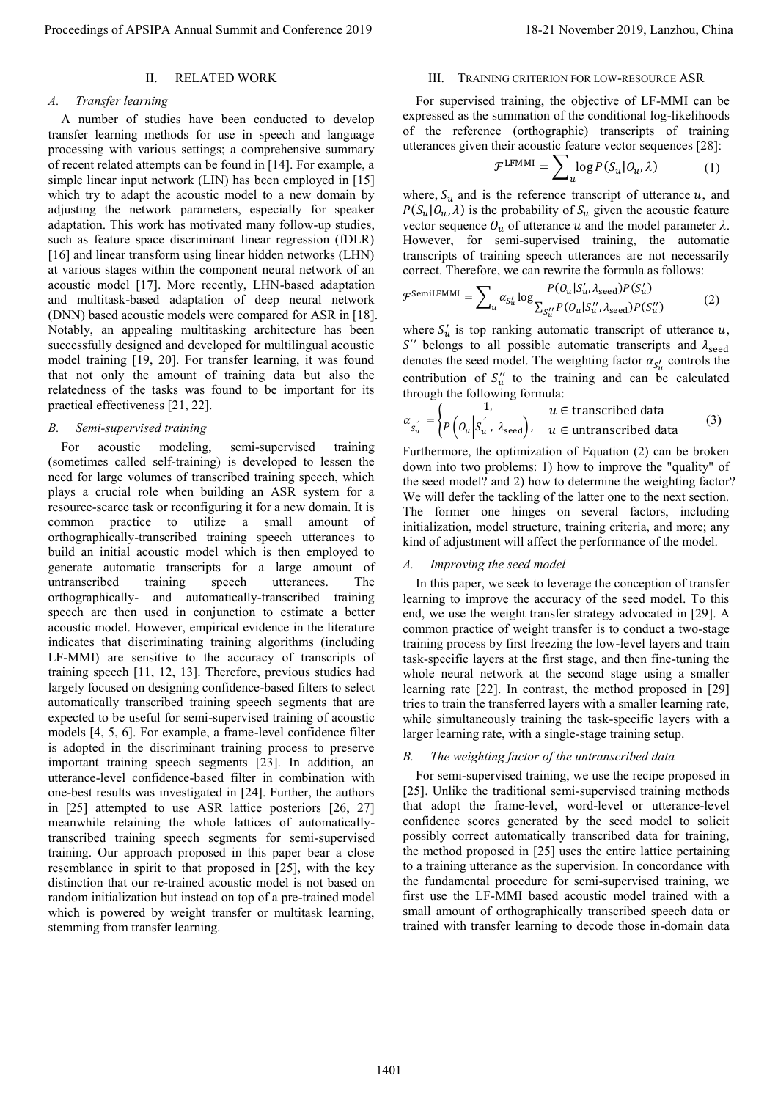## II. RELATED WORK

## *A. Transfer learning*

A number of studies have been conducted to develop transfer learning methods for use in speech and language processing with various settings; a comprehensive summary of recent related attempts can be found in [14]. For example, a simple linear input network (LIN) has been employed in [15] which try to adapt the acoustic model to a new domain by adjusting the network parameters, especially for speaker adaptation. This work has motivated many follow-up studies, such as feature space discriminant linear regression (fDLR) [16] and linear transform using linear hidden networks (LHN) at various stages within the component neural network of an acoustic model [17]. More recently, LHN-based adaptation and multitask-based adaptation of deep neural network (DNN) based acoustic models were compared for ASR in [18]. Notably, an appealing multitasking architecture has been successfully designed and developed for multilingual acoustic model training [19, 20]. For transfer learning, it was found that not only the amount of training data but also the relatedness of the tasks was found to be important for its practical effectiveness [21, 22].

## *B. Semi-supervised training*

For acoustic modeling, semi-supervised training (sometimes called self-training) is developed to lessen the need for large volumes of transcribed training speech, which plays a crucial role when building an ASR system for a resource-scarce task or reconfiguring it for a new domain. It is common practice to utilize a small amount of orthographically-transcribed training speech utterances to build an initial acoustic model which is then employed to generate automatic transcripts for a large amount of untranscribed training speech utterances. The orthographically- and automatically-transcribed training speech are then used in conjunction to estimate a better acoustic model. However, empirical evidence in the literature indicates that discriminating training algorithms (including LF-MMI) are sensitive to the accuracy of transcripts of training speech [11, 12, 13]. Therefore, previous studies had largely focused on designing confidence-based filters to select automatically transcribed training speech segments that are expected to be useful for semi-supervised training of acoustic models [4, 5, 6]. For example, a frame-level confidence filter is adopted in the discriminant training process to preserve important training speech segments [23]. In addition, an utterance-level confidence-based filter in combination with one-best results was investigated in [24]. Further, the authors in [25] attempted to use ASR lattice posteriors [26, 27] meanwhile retaining the whole lattices of automaticallytranscribed training speech segments for semi-supervised training. Our approach proposed in this paper bear a close resemblance in spirit to that proposed in [25], with the key distinction that our re-trained acoustic model is not based on random initialization but instead on top of a pre-trained model which is powered by weight transfer or multitask learning, stemming from transfer learning. Procedure of APSIPA Annual Summit at China 2019 18-21 November 2019, Lanzhou, China 2019, China 2019, China 2019, China 2019, China 2019, China 2019, China 2019, China 2019, China 2019, China 2019, China 2019, China 2019,

## III. TRAINING CRITERION FOR LOW-RESOURCE ASR

For supervised training, the objective of LF-MMI can be expressed as the summation of the conditional log-likelihoods of the reference (orthographic) transcripts of training utterances given their acoustic feature vector sequences [28]:

$$
\mathcal{F}^{\text{LFMMI}} = \sum_{u} \log P(S_u | O_u, \lambda) \tag{1}
$$

where,  $S_u$  and is the reference transcript of utterance u, and  $P(S_u|O_u, \lambda)$  is the probability of  $S_u$  given the acoustic feature vector sequence  $O_u$  of utterance u and the model parameter  $\lambda$ . However, for semi-supervised training, the automatic transcripts of training speech utterances are not necessarily correct. Therefore, we can rewrite the formula as follows:

$$
\mathcal{F}^{\text{SemilFMMI}} = \sum_{u} \alpha_{S_{u}'} \log \frac{P(O_{u} | S_{u}', \lambda_{\text{seed}}) P(S_{u}')}{\sum_{S_{u}''} P(O_{u} | S_{u}', \lambda_{\text{seed}}) P(S_{u}')}
$$
(2)

where  $S'_u$  is top ranking automatic transcript of utterance  $u$ ,  $S''$  belongs to all possible automatic transcripts and  $\lambda_{\text{seed}}$ denotes the seed model. The weighting factor  $\alpha_{S_u'}$  controls the contribution of  $S''_u$  to the training and can be calculated through the following formula:

$$
\alpha_{S_u} = \begin{cases} 1, & u \in \text{transcribed data} \\ P\left(o_u \middle| S_u, \lambda_{\text{seed}}\right), & u \in \text{untranscribed data} \end{cases} \tag{3}
$$

Furthermore, the optimization of Equation (2) can be broken down into two problems: 1) how to improve the "quality" of the seed model? and 2) how to determine the weighting factor? We will defer the tackling of the latter one to the next section. The former one hinges on several factors, including initialization, model structure, training criteria, and more; any kind of adjustment will affect the performance of the model.

#### *A. Improving the seed model*

In this paper, we seek to leverage the conception of transfer learning to improve the accuracy of the seed model. To this end, we use the weight transfer strategy advocated in [29]. A common practice of weight transfer is to conduct a two-stage training process by first freezing the low-level layers and train task-specific layers at the first stage, and then fine-tuning the whole neural network at the second stage using a smaller learning rate [22]. In contrast, the method proposed in [29] tries to train the transferred layers with a smaller learning rate, while simultaneously training the task-specific layers with a larger learning rate, with a single-stage training setup.

## *B. The weighting factor of the untranscribed data*

For semi-supervised training, we use the recipe proposed in [25]. Unlike the traditional semi-supervised training methods that adopt the frame-level, word-level or utterance-level confidence scores generated by the seed model to solicit possibly correct automatically transcribed data for training, the method proposed in [25] uses the entire lattice pertaining to a training utterance as the supervision. In concordance with the fundamental procedure for semi-supervised training, we first use the LF-MMI based acoustic model trained with a small amount of orthographically transcribed speech data or trained with transfer learning to decode those in-domain data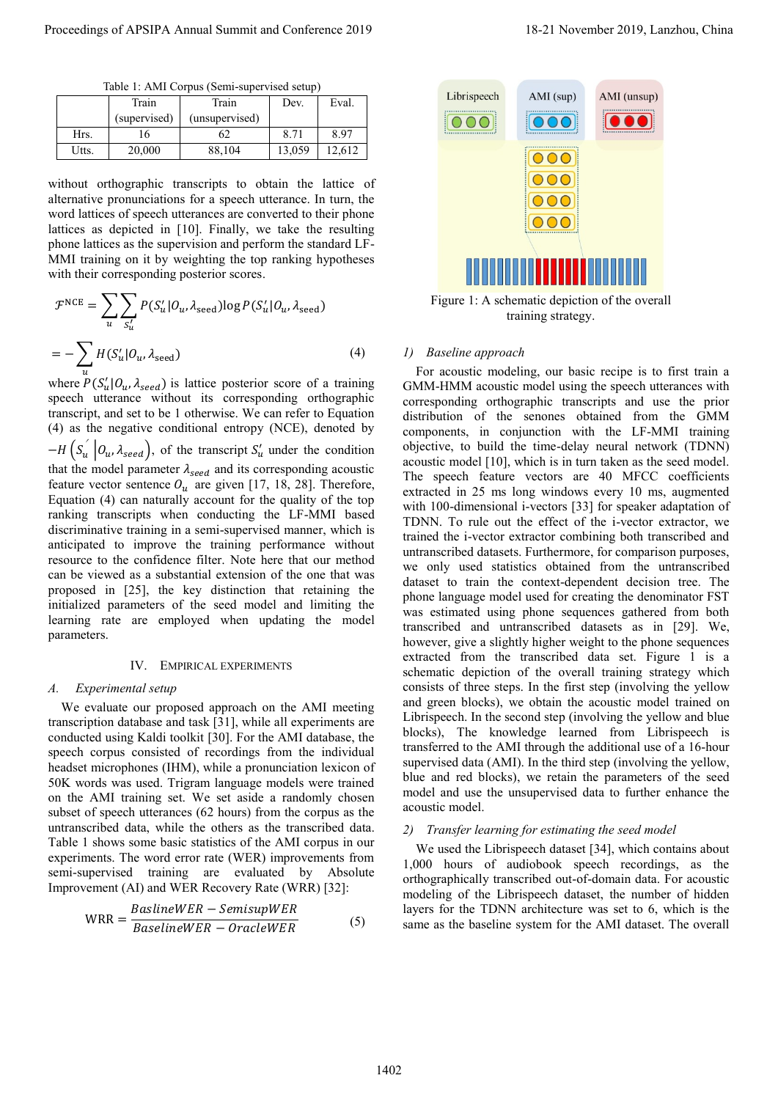Table 1: AMI Corpus (Semi-supervised setup)

|       | Train        | Train          | Dev.   | Eval.  |
|-------|--------------|----------------|--------|--------|
|       | (supervised) | (unsupervised) |        |        |
| Hrs.  |              | 62             | 8.71   | 8.97   |
| Utts. | 20,000       | 88,104         | 13,059 | 12.612 |

without orthographic transcripts to obtain the lattice of alternative pronunciations for a speech utterance. In turn, the word lattices of speech utterances are converted to their phone lattices as depicted in [10]. Finally, we take the resulting phone lattices as the supervision and perform the standard LF-MMI training on it by weighting the top ranking hypotheses with their corresponding posterior scores.

$$
\mathcal{F}^{NCE} = \sum_{u} \sum_{S_u'} P(S_u' | O_u, \lambda_{\text{seed}}) \log P(S_u' | O_u, \lambda_{\text{seed}})
$$

$$
= - \sum_{u} H(S_u' | O_u, \lambda_{\text{seed}}) \tag{4}
$$

where  $P(S'_u | O_u, \lambda_{seed})$  is lattice posterior score of a training speech utterance without its corresponding orthographic transcript, and set to be 1 otherwise. We can refer to Equation (4) as the negative conditional entropy (NCE), denoted by  $-H(S_u | O_u, \lambda_{seed})$ , of the transcript  $S_u$  under the condition that the model parameter  $\lambda_{seed}$  and its corresponding acoustic feature vector sentence  $O_u$  are given [17, 18, 28]. Therefore, Equation (4) can naturally account for the quality of the top ranking transcripts when conducting the LF-MMI based discriminative training in a semi-supervised manner, which is anticipated to improve the training performance without resource to the confidence filter. Note here that our method can be viewed as a substantial extension of the one that was proposed in [25], the key distinction that retaining the initialized parameters of the seed model and limiting the learning rate are employed when updating the model parameters.

#### IV. EMPIRICAL EXPERIMENTS

#### *A. Experimental setup*

We evaluate our proposed approach on the AMI meeting transcription database and task [31], while all experiments are conducted using Kaldi toolkit [30]. For the AMI database, the speech corpus consisted of recordings from the individual headset microphones (IHM), while a pronunciation lexicon of 50K words was used. Trigram language models were trained on the AMI training set. We set aside a randomly chosen subset of speech utterances (62 hours) from the corpus as the untranscribed data, while the others as the transcribed data. Table 1 shows some basic statistics of the AMI corpus in our experiments. The word error rate (WER) improvements from semi-supervised training are evaluated by Absolute Improvement (AI) and WER Recovery Rate (WRR) [32]:

$$
WRR = \frac{BaslineWER - SemisupWER}{BaselineWER - OracleWER}
$$
(5)



Figure 1: A schematic depiction of the overall training strategy.

## *1) Baseline approach*

For acoustic modeling, our basic recipe is to first train a GMM-HMM acoustic model using the speech utterances with corresponding orthographic transcripts and use the prior distribution of the senones obtained from the GMM components, in conjunction with the LF-MMI training objective, to build the time-delay neural network (TDNN) acoustic model [10], which is in turn taken as the seed model. The speech feature vectors are 40 MFCC coefficients extracted in 25 ms long windows every 10 ms, augmented with 100-dimensional i-vectors [33] for speaker adaptation of TDNN. To rule out the effect of the i-vector extractor, we trained the i-vector extractor combining both transcribed and untranscribed datasets. Furthermore, for comparison purposes, we only used statistics obtained from the untranscribed dataset to train the context-dependent decision tree. The phone language model used for creating the denominator FST was estimated using phone sequences gathered from both transcribed and untranscribed datasets as in [29]. We, however, give a slightly higher weight to the phone sequences extracted from the transcribed data set. Figure 1 is a schematic depiction of the overall training strategy which consists of three steps. In the first step (involving the yellow and green blocks), we obtain the acoustic model trained on Librispeech. In the second step (involving the yellow and blue blocks), The knowledge learned from Librispeech is transferred to the AMI through the additional use of a 16-hour supervised data (AMI). In the third step (involving the yellow, blue and red blocks), we retain the parameters of the seed model and use the unsupervised data to further enhance the acoustic model. Proceeding of APSIPA Annual Summit and Conference 2019<br>
1945 1. Addition 2018 1. Exception 2019<br>
1945 1. Addition 2019 1. Addition 2019 1. Addition 2019 1. Addition 2019 1. Addition 2019 1. Addition 2019 1. Addition 2019

## *2) Transfer learning for estimating the seed model*

We used the Librispeech dataset [34], which contains about 1,000 hours of audiobook speech recordings, as the orthographically transcribed out-of-domain data. For acoustic modeling of the Librispeech dataset, the number of hidden layers for the TDNN architecture was set to 6, which is the same as the baseline system for the AMI dataset. The overall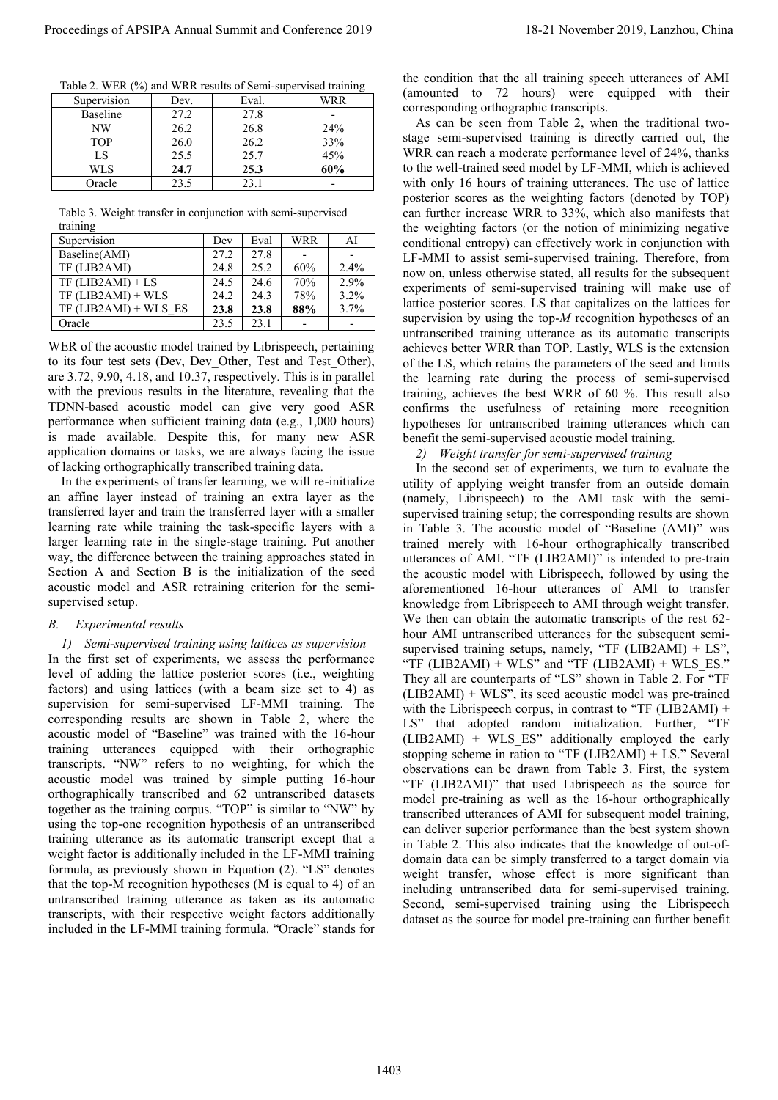Table 2. WER (%) and WRR results of Semi-supervised training

| Supervision     | Dev. | Eval. | WRR |  |
|-----------------|------|-------|-----|--|
| <b>Baseline</b> | 27.2 | 27.8  |     |  |
| NW              | 26.2 | 26.8  | 24% |  |
| <b>TOP</b>      | 26.0 | 26.2  | 33% |  |
| LS              | 25.5 | 25.7  | 45% |  |
| WLS             | 24.7 | 25.3  | 60% |  |
| Oracle          | 23.5 | 23.1  |     |  |

Table 3. Weight transfer in conjunction with semi-supervised training

| Supervision             | Dev  | Eval | WRR | AI   |
|-------------------------|------|------|-----|------|
| Baseline(AMI)           | 27.2 | 27.8 |     |      |
| TF (LIB2AMI)            | 24.8 | 25.2 | 60% | 2.4% |
| $TF$ (LIB2AMI) + LS     | 24.5 | 24.6 | 70% | 2.9% |
| $TF$ (LIB2AMI) + WLS    | 24.2 | 24.3 | 78% | 3.2% |
| $TF$ (LIB2AMI) + WLS ES | 23.8 | 23.8 | 88% | 3.7% |
| Oracle                  | 23.5 | 23.1 |     |      |

WER of the acoustic model trained by Librispeech, pertaining to its four test sets (Dev, Dev\_Other, Test and Test\_Other), are 3.72, 9.90, 4.18, and 10.37, respectively. This is in parallel with the previous results in the literature, revealing that the TDNN-based acoustic model can give very good ASR performance when sufficient training data (e.g., 1,000 hours) is made available. Despite this, for many new ASR application domains or tasks, we are always facing the issue of lacking orthographically transcribed training data.

In the experiments of transfer learning, we will re-initialize an affine layer instead of training an extra layer as the transferred layer and train the transferred layer with a smaller learning rate while training the task-specific layers with a larger learning rate in the single-stage training. Put another way, the difference between the training approaches stated in Section A and Section B is the initialization of the seed acoustic model and ASR retraining criterion for the semisupervised setup.

# *B. Experimental results*

# *1) Semi-supervised training using lattices as supervision*

In the first set of experiments, we assess the performance level of adding the lattice posterior scores (i.e., weighting factors) and using lattices (with a beam size set to 4) as supervision for semi-supervised LF-MMI training. The corresponding results are shown in Table 2, where the acoustic model of "Baseline" was trained with the 16-hour training utterances equipped with their orthographic transcripts. "NW" refers to no weighting, for which the acoustic model was trained by simple putting 16-hour orthographically transcribed and 62 untranscribed datasets together as the training corpus. "TOP" is similar to "NW" by using the top-one recognition hypothesis of an untranscribed training utterance as its automatic transcript except that a weight factor is additionally included in the LF-MMI training formula, as previously shown in Equation (2). "LS" denotes that the top-M recognition hypotheses (M is equal to 4) of an untranscribed training utterance as taken as its automatic transcripts, with their respective weight factors additionally included in the LF-MMI training formula. "Oracle" stands for the condition that the all training speech utterances of AMI (amounted to 72 hours) were equipped with their corresponding orthographic transcripts.

As can be seen from Table 2, when the traditional twostage semi-supervised training is directly carried out, the WRR can reach a moderate performance level of 24%, thanks to the well-trained seed model by LF-MMI, which is achieved with only 16 hours of training utterances. The use of lattice posterior scores as the weighting factors (denoted by TOP) can further increase WRR to 33%, which also manifests that the weighting factors (or the notion of minimizing negative conditional entropy) can effectively work in conjunction with LF-MMI to assist semi-supervised training. Therefore, from now on, unless otherwise stated, all results for the subsequent experiments of semi-supervised training will make use of lattice posterior scores. LS that capitalizes on the lattices for supervision by using the top-*M* recognition hypotheses of an untranscribed training utterance as its automatic transcripts achieves better WRR than TOP. Lastly, WLS is the extension of the LS, which retains the parameters of the seed and limits the learning rate during the process of semi-supervised training, achieves the best WRR of 60 %. This result also confirms the usefulness of retaining more recognition hypotheses for untranscribed training utterances which can benefit the semi-supervised acoustic model training.

*2) Weight transfer for semi-supervised training* 

In the second set of experiments, we turn to evaluate the utility of applying weight transfer from an outside domain (namely, Librispeech) to the AMI task with the semisupervised training setup; the corresponding results are shown in Table 3. The acoustic model of "Baseline (AMI)" was trained merely with 16-hour orthographically transcribed utterances of AMI. "TF (LIB2AMI)" is intended to pre-train the acoustic model with Librispeech, followed by using the aforementioned 16-hour utterances of AMI to transfer knowledge from Librispeech to AMI through weight transfer. We then can obtain the automatic transcripts of the rest 62 hour AMI untranscribed utterances for the subsequent semisupervised training setups, namely, "TF  $(LIB2AMI) + LS$ ", "TF (LIB2AMI) + WLS" and "TF (LIB2AMI) + WLS ES." They all are counterparts of "LS" shown in Table 2. For "TF  $(LIB2AMI) + WLS$ ", its seed acoustic model was pre-trained with the Librispeech corpus, in contrast to "TF (LIB2AMI) + LS" that adopted random initialization. Further, "TF  $(LIB2AMI) + WLS ES'$  additionally employed the early stopping scheme in ration to "TF ( $LIIB2AMI$ ) +  $LS$ ." Several observations can be drawn from Table 3. First, the system "TF (LIB2AMI)" that used Librispeech as the source for model pre-training as well as the 16-hour orthographically transcribed utterances of AMI for subsequent model training, can deliver superior performance than the best system shown in Table 2. This also indicates that the knowledge of out-ofdomain data can be simply transferred to a target domain via weight transfer, whose effect is more significant than including untranscribed data for semi-supervised training. Second, semi-supervised training using the Librispeech dataset as the source for model pre-training can further benefit Proceeding of APSIPA Annual Summit at China 2019 18-21 November 2019 18-21 November 2019 18-21 November 2019 18-21 November 2019 18-21 November 2019 18-21 November 2019 18-21 November 2019 18-21 November 2019 18-21 Novemb